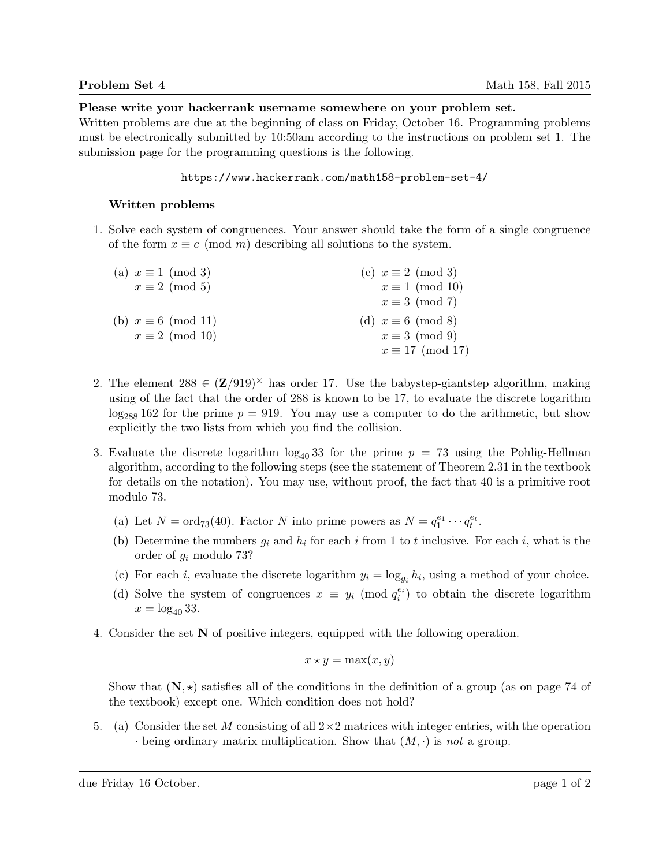Please write your hackerrank username somewhere on your problem set.

Written problems are due at the beginning of class on Friday, October 16. Programming problems must be electronically submitted by 10:50am according to the instructions on problem set 1. The submission page for the programming questions is the following.

## https://www.hackerrank.com/math158-problem-set-4/

## Written problems

1. Solve each system of congruences. Your answer should take the form of a single congruence of the form  $x \equiv c \pmod{m}$  describing all solutions to the system.

| (a) $x \equiv 1 \pmod{3}$  | (c) $x \equiv 2 \pmod{3}$ |
|----------------------------|---------------------------|
| $x \equiv 2 \pmod{5}$      | $x \equiv 1 \pmod{10}$    |
|                            | $x \equiv 3 \pmod{7}$     |
| (b) $x \equiv 6 \pmod{11}$ | (d) $x \equiv 6 \pmod{8}$ |
| $x \equiv 2 \pmod{10}$     | $x \equiv 3 \pmod{9}$     |
|                            | $x \equiv 17 \pmod{17}$   |

- 2. The element  $288 \in (\mathbb{Z}/919)^{\times}$  has order 17. Use the babystep-giantstep algorithm, making using of the fact that the order of 288 is known to be 17, to evaluate the discrete logarithm  $\log_{288} 162$  for the prime  $p = 919$ . You may use a computer to do the arithmetic, but show explicitly the two lists from which you find the collision.
- 3. Evaluate the discrete logarithm  $\log_{40} 33$  for the prime  $p = 73$  using the Pohlig-Hellman algorithm, according to the following steps (see the statement of Theorem 2.31 in the textbook for details on the notation). You may use, without proof, the fact that 40 is a primitive root modulo 73.
	- (a) Let  $N = \text{ord}_{73}(40)$ . Factor N into prime powers as  $N = q_1^{e_1} \cdots q_t^{e_t}$ .
	- (b) Determine the numbers  $g_i$  and  $h_i$  for each i from 1 to t inclusive. For each i, what is the order of g<sup>i</sup> modulo 73?
	- (c) For each *i*, evaluate the discrete logarithm  $y_i = \log_{g_i} h_i$ , using a method of your choice.
	- (d) Solve the system of congruences  $x \equiv y_i \pmod{q_i^{e_i}}$  to obtain the discrete logarithm  $x = \log_{40} 33$ .
- 4. Consider the set N of positive integers, equipped with the following operation.

$$
x \star y = \max(x, y)
$$

Show that  $(N, \star)$  satisfies all of the conditions in the definition of a group (as on page 74 of the textbook) except one. Which condition does not hold?

5. (a) Consider the set M consisting of all  $2\times 2$  matrices with integer entries, with the operation  $\cdot$  being ordinary matrix multiplication. Show that  $(M, \cdot)$  is not a group.

due Friday 16 October. page 1 of 2